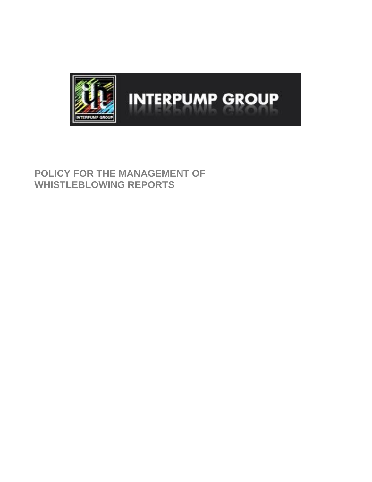

# **POLICY FOR THE MANAGEMENT OF WHISTLEBLOWING REPORTS**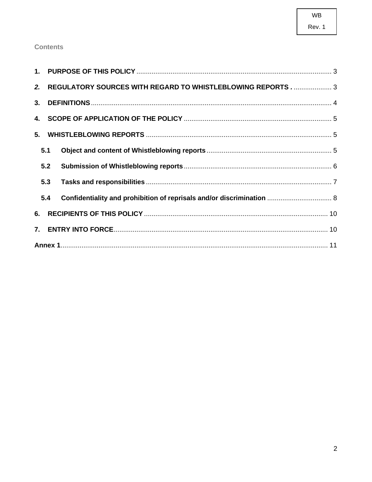# Rev. 1

# **Contents**

|  |     | 2. REGULATORY SOURCES WITH REGARD TO WHISTLEBLOWING REPORTS 3         |  |
|--|-----|-----------------------------------------------------------------------|--|
|  |     |                                                                       |  |
|  |     |                                                                       |  |
|  |     |                                                                       |  |
|  | 5.1 |                                                                       |  |
|  | 5.2 |                                                                       |  |
|  | 5.3 |                                                                       |  |
|  | 5.4 | Confidentiality and prohibition of reprisals and/or discrimination  8 |  |
|  |     |                                                                       |  |
|  |     |                                                                       |  |
|  |     |                                                                       |  |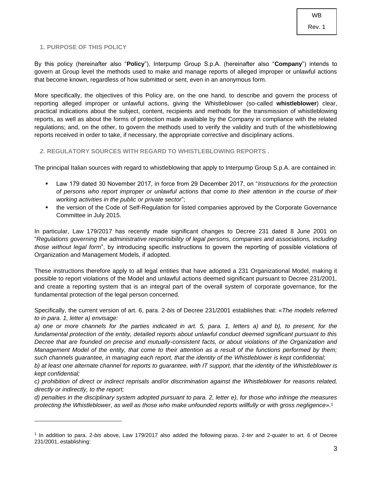#### <span id="page-2-0"></span>**1. PURPOSE OF THIS POLICY**

By this policy (hereinafter also "**Policy**"), Interpump Group S.p.A. (hereinafter also "**Company**") intends to govern at Group level the methods used to make and manage reports of alleged improper or unlawful actions that become known, regardless of how submitted or sent, even in an anonymous form.

More specifically, the objectives of this Policy are, on the one hand, to describe and govern the process of reporting alleged improper or unlawful actions, giving the Whistleblower (so-called **whistleblower**) clear, practical indications about the subject, content, recipients and methods for the transmission of whistleblowing reports, as well as about the forms of protection made available by the Company in compliance with the related regulations; and, on the other, to govern the methods used to verify the validity and truth of the whistleblowing reports received in order to take, if necessary, the appropriate corrective and disciplinary actions.

#### <span id="page-2-1"></span>*2.* **REGULATORY SOURCES WITH REGARD TO WHISTLEBLOWING REPORTS** *.*

The principal Italian sources with regard to whistleblowing that apply to Interpump Group S.p.A. are contained in:

- Law 179 dated 30 November 2017, in force from 29 December 2017, on "*Instructions for the protection of persons who report improper or unlawful actions that come to their attention in the course of their working activities in the public or private sector*";
- the version of the Code of Self-Regulation for listed companies approved by the Corporate Governance Committee in July 2015.

In particular, Law 179/2017 has recently made significant changes to Decree 231 dated 8 June 2001 on "*Regulations governing the administrative responsibility of legal persons, companies and associations, including those without legal form*", by introducing specific instructions to govern the reporting of possible violations of Organization and Management Models, if adopted.

These instructions therefore apply to all legal entities that have adopted a 231 Organizational Model, making it possible to report violations of the Model and unlawful actions deemed significant pursuant to Decree 231/2001, and create a reporting system that is an integral part of the overall system of corporate governance, for the fundamental protection of the legal person concerned.

Specifically, the current version of art. 6, para. 2-*bis* of Decree 231/2001 establishes that: «*The models referred to in para. 1, letter a) envisage:* 

*a) one or more channels for the parties indicated in art. 5, para. 1, letters a) and b), to present, for the fundamental protection of the entity, detailed reports about unlawful conduct deemed significant pursuant to this Decree that are founded on precise and mutually-consistent facts, or about violations of the Organization and Management Model of the entity, that come to their attention as a result of the functions performed by them; such channels guarantee, in managing each report, that the identity of the Whistleblower is kept confidential;* 

*b) at least one alternate channel for reports to guarantee, with IT support, that the identity of the Whistleblower is kept confidential;* 

*c) prohibition of direct or indirect reprisals and/or discrimination against the Whistleblower for reasons related, directly or indirectly, to the report;* 

*d) penalties in the disciplinary system adopted pursuant to para. 2, letter e), for those who infringe the measures protecting the Whistleblower, as well as those who make unfounded reports willfully or with gross negligence*».<sup>1</sup>

<sup>1</sup> In addition to para. 2-*bis* above, Law 179/2017 also added the following paras. 2-*ter* and 2-*quater* to art. 6 of Decree 231/2001, establishing: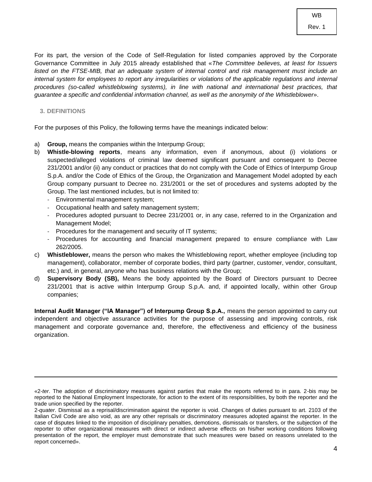For its part, the version of the Code of Self-Regulation for listed companies approved by the Corporate Governance Committee in July 2015 already established that «*The Committee believes, at least for Issuers listed on the FTSE-MIB, that an adequate system of internal control and risk management must include an*  internal system for employees to report any irregularities or violations of the applicable regulations and internal *procedures (so-called whistleblowing systems), in line with national and international best practices, that guarantee a specific and confidential information channel, as well as the anonymity of the Whistleblower*».

#### <span id="page-3-0"></span>**3. DEFINITIONS**

For the purposes of this Policy, the following terms have the meanings indicated below:

- a) **Group,** means the companies within the Interpump Group;
- b) **Whistle-blowing reports**, means any information, even if anonymous, about (i) violations or suspected/alleged violations of criminal law deemed significant pursuant and consequent to Decree 231/2001 and/or (ii) any conduct or practices that do not comply with the Code of Ethics of Interpump Group S.p.A. and/or the Code of Ethics of the Group, the Organization and Management Model adopted by each Group company pursuant to Decree no. 231/2001 or the set of procedures and systems adopted by the Group. The last mentioned includes, but is not limited to:
	- Environmental management system;
	- Occupational health and safety management system;
	- Procedures adopted pursuant to Decree 231/2001 or, in any case, referred to in the Organization and Management Model;
	- Procedures for the management and security of IT systems;
	- Procedures for accounting and financial management prepared to ensure compliance with Law 262/2005.
- c) **Whistleblower,** means the person who makes the Whistleblowing report, whether employee (including top management), collaborator, member of corporate bodies, third party (partner, customer, vendor, consultant, etc.) and, in general, anyone who has business relations with the Group;
- d) **Supervisory Body (SB),** Means the body appointed by the Board of Directors pursuant to Decree 231/2001 that is active within Interpump Group S.p.A. and, if appointed locally, within other Group companies;

**Internal Audit Manager ("IA Manager") of Interpump Group S.p.A.,** means the person appointed to carry out independent and objective assurance activities for the purpose of assessing and improving controls, risk management and corporate governance and, therefore, the effectiveness and efficiency of the business organization.

<sup>«2-</sup>*ter*. The adoption of discriminatory measures against parties that make the reports referred to in para. 2-bis may be reported to the National Employment Inspectorate, for action to the extent of its responsibilities, by both the reporter and the trade union specified by the reporter.

<sup>2-</sup>*quater*. Dismissal as a reprisal/discrimination against the reporter is void. Changes of duties pursuant to art. 2103 of the Italian Civil Code are also void, as are any other reprisals or discriminatory measures adopted against the reporter. In the case of disputes linked to the imposition of disciplinary penalties, demotions, dismissals or transfers, or the subjection of the reporter to other organizational measures with direct or indirect adverse effects on his/her working conditions following presentation of the report, the employer must demonstrate that such measures were based on reasons unrelated to the report concerned».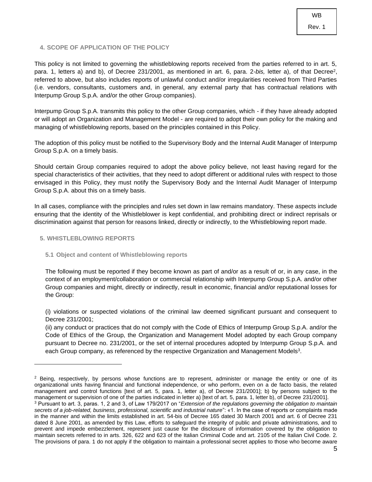### <span id="page-4-0"></span>**4. SCOPE OF APPLICATION OF THE POLICY**

This policy is not limited to governing the whistleblowing reports received from the parties referred to in art. 5, para. 1, letters a) and b), of Decree 231/2001, as mentioned in art. 6, para. 2-bis, letter a), of that Decree<sup>2</sup>, referred to above, but also includes reports of unlawful conduct and/or irregularities received from Third Parties (i.e. vendors, consultants, customers and, in general, any external party that has contractual relations with Interpump Group S.p.A. and/or the other Group companies).

Interpump Group S.p.A. transmits this policy to the other Group companies, which - if they have already adopted or will adopt an Organization and Management Model - are required to adopt their own policy for the making and managing of whistleblowing reports, based on the principles contained in this Policy.

The adoption of this policy must be notified to the Supervisory Body and the Internal Audit Manager of Interpump Group S.p.A. on a timely basis.

Should certain Group companies required to adopt the above policy believe, not least having regard for the special characteristics of their activities, that they need to adopt different or additional rules with respect to those envisaged in this Policy, they must notify the Supervisory Body and the Internal Audit Manager of Interpump Group S.p.A. about this on a timely basis.

In all cases, compliance with the principles and rules set down in law remains mandatory. These aspects include ensuring that the identity of the Whistleblower is kept confidential, and prohibiting direct or indirect reprisals or discrimination against that person for reasons linked, directly or indirectly, to the Whistleblowing report made.

#### <span id="page-4-1"></span>**5. WHISTLEBLOWING REPORTS**

#### <span id="page-4-2"></span>**5.1 Object and content of Whistleblowing reports**

The following must be reported if they become known as part of and/or as a result of or, in any case, in the context of an employment/collaboration or commercial relationship with Interpump Group S.p.A. and/or other Group companies and might, directly or indirectly, result in economic, financial and/or reputational losses for the Group:

(i) violations or suspected violations of the criminal law deemed significant pursuant and consequent to Decree 231/2001;

(ii) any conduct or practices that do not comply with the Code of Ethics of Interpump Group S.p.A. and/or the Code of Ethics of the Group, the Organization and Management Model adopted by each Group company pursuant to Decree no. 231/2001, or the set of internal procedures adopted by Interpump Group S.p.A. and each Group company, as referenced by the respective Organization and Management Models<sup>3</sup>.

 $2$  Being, respectively, by persons whose functions are to represent, administer or manage the entity or one of its organizational units having financial and functional independence, or who perform, even on a de facto basis, the related management and control functions [text of art. 5, para. 1, letter a), of Decree 231/2001]; b) by persons subject to the management or supervision of one of the parties indicated in letter a) [text of art. 5, para. 1, letter b), of Decree 231/2001].

<sup>3</sup> Pursuant to art. 3, paras. 1, 2 and 3, of Law 179/2017 on "*Extension of the regulations governing the obligation to maintain secrets of a job-related, business, professional, scientific and industrial nature*": «1. In the case of reports or complaints made in the manner and within the limits established in art. 54-bis of Decree 165 dated 30 March 2001 and art. 6 of Decree 231 dated 8 June 2001, as amended by this Law, efforts to safeguard the integrity of public and private administrations, and to prevent and impede embezzlement, represent just cause for the disclosure of information covered by the obligation to maintain secrets referred to in arts. 326, 622 and 623 of the Italian Criminal Code and art. 2105 of the Italian Civil Code. 2. The provisions of para. 1 do not apply if the obligation to maintain a professional secret applies to those who become aware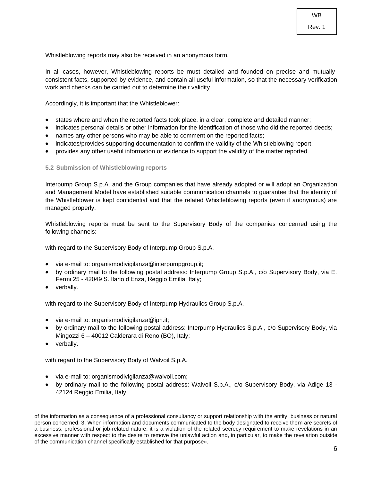Whistleblowing reports may also be received in an anonymous form.

In all cases, however, Whistleblowing reports be must detailed and founded on precise and mutuallyconsistent facts, supported by evidence, and contain all useful information, so that the necessary verification work and checks can be carried out to determine their validity.

Accordingly, it is important that the Whistleblower:

- states where and when the reported facts took place, in a clear, complete and detailed manner;
- indicates personal details or other information for the identification of those who did the reported deeds;
- names any other persons who may be able to comment on the reported facts;
- indicates/provides supporting documentation to confirm the validity of the Whistleblowing report;
- provides any other useful information or evidence to support the validity of the matter reported.

#### <span id="page-5-0"></span>**5.2 Submission of Whistleblowing reports**

Interpump Group S.p.A. and the Group companies that have already adopted or will adopt an Organization and Management Model have established suitable communication channels to guarantee that the identity of the Whistleblower is kept confidential and that the related Whistleblowing reports (even if anonymous) are managed properly.

Whistleblowing reports must be sent to the Supervisory Body of the companies concerned using the following channels:

with regard to the Supervisory Body of Interpump Group S.p.A.

- via e-mail to: organismodivigilanza@interpumpgroup.it;
- by ordinary mail to the following postal address: Interpump Group S.p.A., c/o Supervisory Body, via E. Fermi 25 - 42049 S. Ilario d'Enza, Reggio Emilia, Italy;
- verbally.

with regard to the Supervisory Body of Interpump Hydraulics Group S.p.A.

- via e-mail to: organismodivigilanza@iph.it;
- by ordinary mail to the following postal address: Interpump Hydraulics S.p.A., c/o Supervisory Body, via Mingozzi 6 – 40012 Calderara di Reno (BO), Italy;
- verbally.

with regard to the Supervisory Body of Walvoil S.p.A.

- via e-mail to: organismodivigilanza@walvoil.com;
- by ordinary mail to the following postal address: Walvoil S.p.A., c/o Supervisory Body, via Adige 13 42124 Reggio Emilia, Italy;

of the information as a consequence of a professional consultancy or support relationship with the entity, business or natural person concerned. 3. When information and documents communicated to the body designated to receive them are secrets of a business, professional or job-related nature, it is a violation of the related secrecy requirement to make revelations in an excessive manner with respect to the desire to remove the unlawful action and, in particular, to make the revelation outside of the communication channel specifically established for that purpose».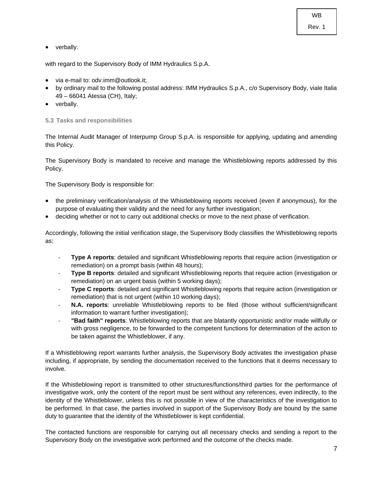Rev. 1

• verbally.

with regard to the Supervisory Body of IMM Hydraulics S.p.A.

- via e-mail to: odv.imm@outlook.it;
- by ordinary mail to the following postal address: IMM Hydraulics S.p.A., c/o Supervisory Body, viale Italia 49 – 66041 Atessa (CH), Italy;
- verbally.

<span id="page-6-0"></span>**5.3 Tasks and responsibilities**

The Internal Audit Manager of Interpump Group S.p.A. is responsible for applying, updating and amending this Policy.

The Supervisory Body is mandated to receive and manage the Whistleblowing reports addressed by this Policy.

The Supervisory Body is responsible for:

- the preliminary verification/analysis of the Whistleblowing reports received (even if anonymous), for the purpose of evaluating their validity and the need for any further investigation;
- deciding whether or not to carry out additional checks or move to the next phase of verification.

Accordingly, following the initial verification stage, the Supervisory Body classifies the Whistleblowing reports as:

- **Type A reports**: detailed and significant Whistleblowing reports that require action (investigation or remediation) on a prompt basis (within 48 hours);
- **Type B reports:** detailed and significant Whistleblowing reports that require action (investigation or remediation) on an urgent basis (within 5 working days);
- **Type C reports:** detailed and significant Whistleblowing reports that require action (investigation or remediation) that is not urgent (within 10 working days);
- **N.A. reports**: unreliable Whistleblowing reports to be filed (those without sufficient/significant information to warrant further investigation);
- **"Bad faith" reports**: Whistleblowing reports that are blatantly opportunistic and/or made willfully or with gross negligence, to be forwarded to the competent functions for determination of the action to be taken against the Whistleblower, if any.

If a Whistleblowing report warrants further analysis, the Supervisory Body activates the investigation phase including, if appropriate, by sending the documentation received to the functions that it deems necessary to involve.

If the Whistleblowing report is transmitted to other structures/functions/third parties for the performance of investigative work, only the content of the report must be sent without any references, even indirectly, to the identity of the Whistleblower, unless this is not possible in view of the characteristics of the investigation to be performed. In that case, the parties involved in support of the Supervisory Body are bound by the same duty to guarantee that the identity of the Whistleblower is kept confidential.

The contacted functions are responsible for carrying out all necessary checks and sending a report to the Supervisory Body on the investigative work performed and the outcome of the checks made.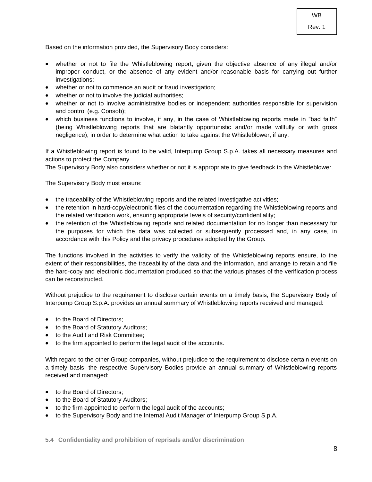Based on the information provided, the Supervisory Body considers:

- whether or not to file the Whistleblowing report, given the objective absence of any illegal and/or improper conduct, or the absence of any evident and/or reasonable basis for carrying out further investigations;
- whether or not to commence an audit or fraud investigation;
- whether or not to involve the judicial authorities;
- whether or not to involve administrative bodies or independent authorities responsible for supervision and control (e.g. Consob);
- which business functions to involve, if any, in the case of Whistleblowing reports made in "bad faith" (being Whistleblowing reports that are blatantly opportunistic and/or made willfully or with gross negligence), in order to determine what action to take against the Whistleblower, if any.

If a Whistleblowing report is found to be valid, Interpump Group S.p.A. takes all necessary measures and actions to protect the Company.

The Supervisory Body also considers whether or not it is appropriate to give feedback to the Whistleblower.

The Supervisory Body must ensure:

- the traceability of the Whistleblowing reports and the related investigative activities;
- the retention in hard-copy/electronic files of the documentation regarding the Whistleblowing reports and the related verification work, ensuring appropriate levels of security/confidentiality;
- the retention of the Whistleblowing reports and related documentation for no longer than necessary for the purposes for which the data was collected or subsequently processed and, in any case, in accordance with this Policy and the privacy procedures adopted by the Group.

The functions involved in the activities to verify the validity of the Whistleblowing reports ensure, to the extent of their responsibilities, the traceability of the data and the information, and arrange to retain and file the hard-copy and electronic documentation produced so that the various phases of the verification process can be reconstructed.

Without prejudice to the requirement to disclose certain events on a timely basis, the Supervisory Body of Interpump Group S.p.A. provides an annual summary of Whistleblowing reports received and managed:

- to the Board of Directors:
- to the Board of Statutory Auditors;
- to the Audit and Risk Committee;
- to the firm appointed to perform the legal audit of the accounts.

With regard to the other Group companies, without prejudice to the requirement to disclose certain events on a timely basis, the respective Supervisory Bodies provide an annual summary of Whistleblowing reports received and managed:

- to the Board of Directors;
- to the Board of Statutory Auditors;
- to the firm appointed to perform the legal audit of the accounts;
- to the Supervisory Body and the Internal Audit Manager of Interpump Group S.p.A.

<span id="page-7-0"></span>**5.4 Confidentiality and prohibition of reprisals and/or discrimination**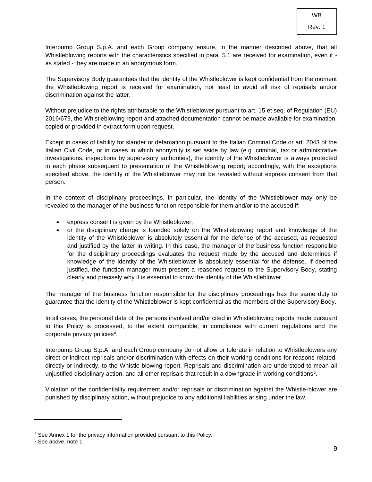Interpump Group S.p.A. and each Group company ensure, in the manner described above, that all Whistleblowing reports with the characteristics specified in para. 5.1 are received for examination, even if as stated - they are made in an anonymous form.

The Supervisory Body guarantees that the identity of the Whistleblower is kept confidential from the moment the Whistleblowing report is received for examination, not least to avoid all risk of reprisals and/or discrimination against the latter.

Without prejudice to the rights attributable to the Whistleblower pursuant to art. 15 et seq. of Regulation (EU) 2016/679, the Whistleblowing report and attached documentation cannot be made available for examination, copied or provided in extract form upon request.

Except in cases of liability for slander or defamation pursuant to the Italian Criminal Code or art. 2043 of the Italian Civil Code, or in cases in which anonymity is set aside by law (e.g. criminal, tax or administrative investigations, inspections by supervisory authorities), the identity of the Whistleblower is always protected in each phase subsequent to presentation of the Whistleblowing report; accordingly, with the exceptions specified above, the identity of the Whistleblower may not be revealed without express consent from that person.

In the context of disciplinary proceedings, in particular, the identity of the Whistleblower may only be revealed to the manager of the business function responsible for them and/or to the accused if:

- express consent is given by the Whistleblower;
- or the disciplinary charge is founded solely on the Whistleblowing report and knowledge of the identity of the Whistleblower is absolutely essential for the defense of the accused, as requested and justified by the latter in writing. In this case, the manager of the business function responsible for the disciplinary proceedings evaluates the request made by the accused and determines if knowledge of the identity of the Whistleblower is absolutely essential for the defense. If deemed justified, the function manager must present a reasoned request to the Supervisory Body, stating clearly and precisely why it is essential to know the identity of the Whistleblower.

The manager of the business function responsible for the disciplinary proceedings has the same duty to guarantee that the identity of the Whistleblower is kept confidential as the members of the Supervisory Body.

In all cases, the personal data of the persons involved and/or cited in Whistleblowing reports made pursuant to this Policy is processed, to the extent compatible, in compliance with current regulations and the corporate privacy policies<sup>4</sup>.

Interpump Group S.p.A. and each Group company do not allow or tolerate in relation to Whistleblowers any direct or indirect reprisals and/or discrimination with effects on their working conditions for reasons related, directly or indirectly, to the Whistle-blowing report. Reprisals and discrimination are understood to mean all unjustified disciplinary action, and all other reprisals that result in a downgrade in working conditions<sup>5</sup>.

Violation of the confidentiality requirement and/or reprisals or discrimination against the Whistle-blower are punished by disciplinary action, without prejudice to any additional liabilities arising under the law.

<sup>4</sup> See Annex 1 for the privacy information provided pursuant to this Policy.

<sup>5</sup> See above, note 1.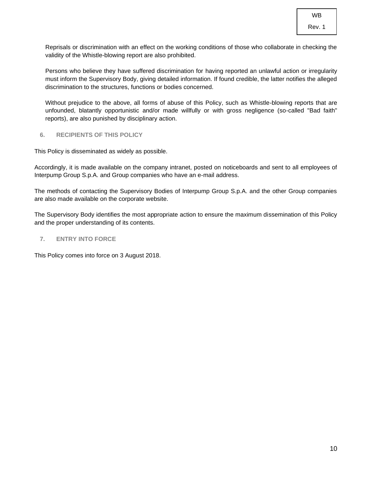Rev. 1

Reprisals or discrimination with an effect on the working conditions of those who collaborate in checking the validity of the Whistle-blowing report are also prohibited.

Persons who believe they have suffered discrimination for having reported an unlawful action or irregularity must inform the Supervisory Body, giving detailed information. If found credible, the latter notifies the alleged discrimination to the structures, functions or bodies concerned.

Without prejudice to the above, all forms of abuse of this Policy, such as Whistle-blowing reports that are unfounded, blatantly opportunistic and/or made willfully or with gross negligence (so-called "Bad faith" reports), are also punished by disciplinary action.

# <span id="page-9-0"></span>**6. RECIPIENTS OF THIS POLICY**

This Policy is disseminated as widely as possible.

Accordingly, it is made available on the company intranet, posted on noticeboards and sent to all employees of Interpump Group S.p.A. and Group companies who have an e-mail address.

The methods of contacting the Supervisory Bodies of Interpump Group S.p.A. and the other Group companies are also made available on the corporate website.

The Supervisory Body identifies the most appropriate action to ensure the maximum dissemination of this Policy and the proper understanding of its contents.

### <span id="page-9-1"></span>**7. ENTRY INTO FORCE**

This Policy comes into force on 3 August 2018.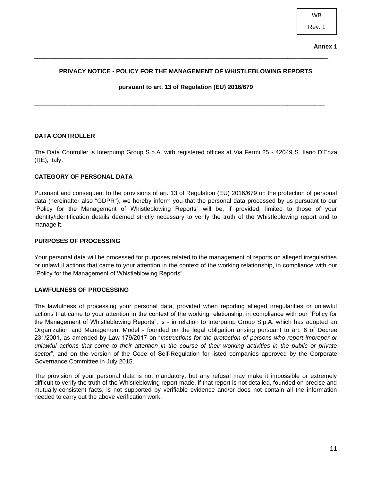## **PRIVACY NOTICE - POLICY FOR THE MANAGEMENT OF WHISTLEBLOWING REPORTS**

<span id="page-10-0"></span>\_\_\_\_\_\_\_\_\_\_\_\_\_\_\_\_\_\_\_\_\_\_\_\_\_\_\_\_\_\_\_\_\_\_\_\_\_\_\_\_\_\_\_\_\_\_\_\_\_\_\_\_\_\_\_\_\_\_\_\_\_\_\_\_\_\_\_\_\_\_\_\_\_\_\_\_\_\_\_\_\_\_\_\_\_\_\_

**pursuant to art. 13 of Regulation (EU) 2016/679**

**\_\_\_\_\_\_\_\_\_\_\_\_\_\_\_\_\_\_\_\_\_\_\_\_\_\_\_\_\_\_\_\_\_\_\_\_\_\_\_\_\_\_\_\_\_\_\_\_\_\_\_\_\_\_\_\_\_\_\_\_\_\_\_\_\_\_\_\_\_\_\_\_\_\_\_\_\_\_\_\_\_\_\_\_\_\_**

# **DATA CONTROLLER**

The Data Controller is Interpump Group S.p.A. with registered offices at Via Fermi 25 - 42049 S. Ilario D'Enza (RE), Italy.

#### **CATEGORY OF PERSONAL DATA**

Pursuant and consequent to the provisions of art. 13 of Regulation (EU) 2016/679 on the protection of personal data (hereinafter also "GDPR"), we hereby inform you that the personal data processed by us pursuant to our "Policy for the Management of Whistleblowing Reports" will be, if provided, limited to those of your identity/identification details deemed strictly necessary to verify the truth of the Whistleblowing report and to manage it.

#### **PURPOSES OF PROCESSING**

Your personal data will be processed for purposes related to the management of reports on alleged irregularities or unlawful actions that came to your attention in the context of the working relationship, in compliance with our "Policy for the Management of Whistleblowing Reports".

#### **LAWFULNESS OF PROCESSING**

The lawfulness of processing your personal data, provided when reporting alleged irregularities or unlawful actions that came to your attention in the context of the working relationship, in compliance with our "Policy for the Management of Whistleblowing Reports", is - in relation to Interpump Group S.p.A. which has adopted an Organization and Management Model - founded on the legal obligation arising pursuant to art. 6 of Decree 231/2001, as amended by Law 179/2017 on "*Instructions for the protection of persons who report improper or unlawful actions that come to their attention in the course of their working activities in the public or private sector*", and on the version of the Code of Self-Regulation for listed companies approved by the Corporate Governance Committee in July 2015.

The provision of your personal data is not mandatory, but any refusal may make it impossible or extremely difficult to verify the truth of the Whistleblowing report made, if that report is not detailed, founded on precise and mutually-consistent facts, is not supported by verifiable evidence and/or does not contain all the information needed to carry out the above verification work.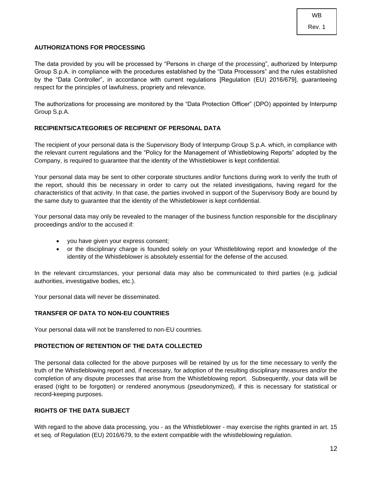# **AUTHORIZATIONS FOR PROCESSING**

The data provided by you will be processed by "Persons in charge of the processing", authorized by Interpump Group S.p.A. in compliance with the procedures established by the "Data Processors" and the rules established by the "Data Controller", in accordance with current regulations [Regulation (EU) 2016/679], guaranteeing respect for the principles of lawfulness, propriety and relevance.

The authorizations for processing are monitored by the "Data Protection Officer" (DPO) appointed by Interpump Group S.p.A.

#### **RECIPIENTS/CATEGORIES OF RECIPIENT OF PERSONAL DATA**

The recipient of your personal data is the Supervisory Body of Interpump Group S.p.A. which, in compliance with the relevant current regulations and the "Policy for the Management of Whistleblowing Reports" adopted by the Company, is required to guarantee that the identity of the Whistleblower is kept confidential.

Your personal data may be sent to other corporate structures and/or functions during work to verify the truth of the report, should this be necessary in order to carry out the related investigations, having regard for the characteristics of that activity. In that case, the parties involved in support of the Supervisory Body are bound by the same duty to guarantee that the identity of the Whistleblower is kept confidential.

Your personal data may only be revealed to the manager of the business function responsible for the disciplinary proceedings and/or to the accused if:

- you have given your express consent;
- or the disciplinary charge is founded solely on your Whistleblowing report and knowledge of the identity of the Whistleblower is absolutely essential for the defense of the accused.

In the relevant circumstances, your personal data may also be communicated to third parties (e.g. judicial authorities, investigative bodies, etc.).

Your personal data will never be disseminated.

#### **TRANSFER OF DATA TO NON-EU COUNTRIES**

Your personal data will not be transferred to non-EU countries.

## **PROTECTION OF RETENTION OF THE DATA COLLECTED**

The personal data collected for the above purposes will be retained by us for the time necessary to verify the truth of the Whistleblowing report and, if necessary, for adoption of the resulting disciplinary measures and/or the completion of any dispute processes that arise from the Whistleblowing report. Subsequently, your data will be erased (right to be forgotten) or rendered anonymous (pseudonymized), if this is necessary for statistical or record-keeping purposes.

# **RIGHTS OF THE DATA SUBJECT**

With regard to the above data processing, you - as the Whistleblower - may exercise the rights granted in art. 15 et seq. of Regulation (EU) 2016/679, to the extent compatible with the whistleblowing regulation.